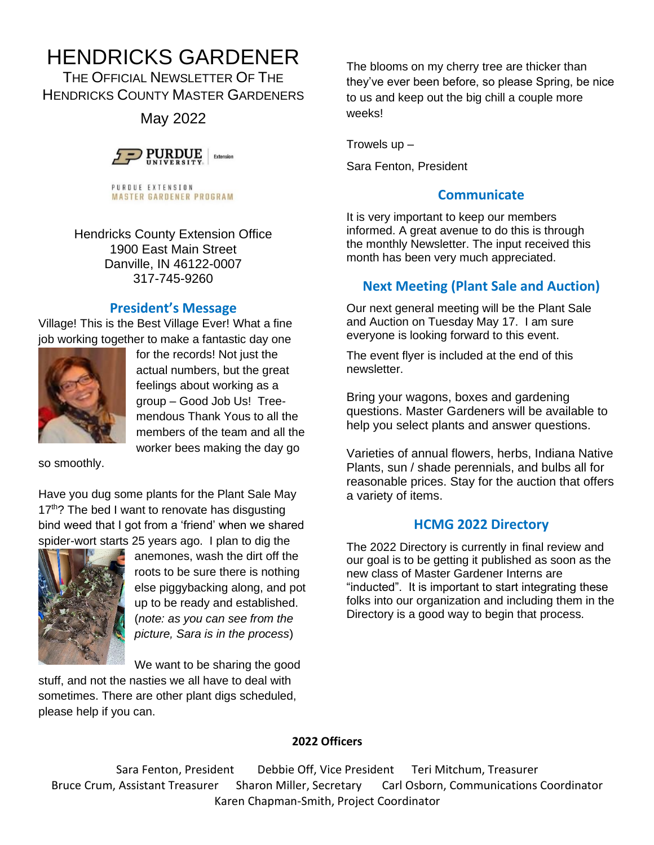# HENDRICKS GARDENER

THE OFFICIAL NEWSLETTER OF THE HENDRICKS COUNTY MASTER GARDENERS

May 2022



PURDUE EXTENSION **MASTER GARDENER PROGRAM** 

Hendricks County Extension Office 1900 East Main Street Danville, IN 46122-0007 317-745-9260

# **President's Message**

Village! This is the Best Village Ever! What a fine job working together to make a fantastic day one



for the records! Not just the actual numbers, but the great feelings about working as a group – Good Job Us! Treemendous Thank Yous to all the members of the team and all the worker bees making the day go

so smoothly.

Have you dug some plants for the Plant Sale May 17<sup>th</sup>? The bed I want to renovate has disgusting bind weed that I got from a 'friend' when we shared spider-wort starts 25 years ago. I plan to dig the



anemones, wash the dirt off the roots to be sure there is nothing else piggybacking along, and pot up to be ready and established. (*note: as you can see from the picture, Sara is in the process*)

We want to be sharing the good

stuff, and not the nasties we all have to deal with sometimes. There are other plant digs scheduled, please help if you can.

The blooms on my cherry tree are thicker than they've ever been before, so please Spring, be nice to us and keep out the big chill a couple more weeks!

Trowels  $up -$ 

Sara Fenton, President

# **Communicate**

It is very important to keep our members informed. A great avenue to do this is through the monthly Newsletter. The input received this month has been very much appreciated.

# **Next Meeting (Plant Sale and Auction)**

Our next general meeting will be the Plant Sale and Auction on Tuesday May 17. I am sure everyone is looking forward to this event.

The event flyer is included at the end of this newsletter.

Bring your wagons, boxes and gardening questions. Master Gardeners will be available to help you select plants and answer questions.

Varieties of annual flowers, herbs, Indiana Native Plants, sun / shade perennials, and bulbs all for reasonable prices. Stay for the auction that offers a variety of items.

## **HCMG 2022 Directory**

The 2022 Directory is currently in final review and our goal is to be getting it published as soon as the new class of Master Gardener Interns are "inducted". It is important to start integrating these folks into our organization and including them in the Directory is a good way to begin that process.

#### **2022 Officers**

Sara Fenton, President Debbie Off, Vice President Teri Mitchum, Treasurer Bruce Crum, Assistant Treasurer Sharon Miller, Secretary Carl Osborn, Communications Coordinator Karen Chapman-Smith, Project Coordinator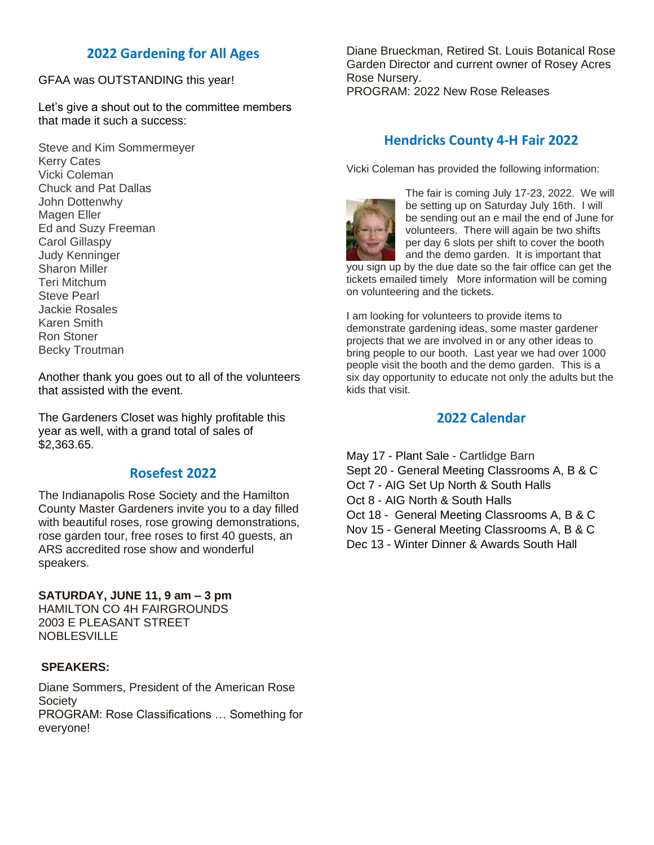# **2022 Gardening for All Ages**

GFAA was OUTSTANDING this year!

Let's give a shout out to the committee members that made it such a success:

Steve and Kim Sommermeyer Kerry Cates Vicki Coleman Chuck and Pat Dallas John Dottenwhy Magen Eller Ed and Suzy Freeman Carol Gillaspy Judy Kenninger Sharon Miller Teri Mitchum Steve Pearl Jackie Rosales Karen Smith Ron Stoner Becky Troutman

Another thank you goes out to all of the volunteers that assisted with the event.

The Gardeners Closet was highly profitable this year as well, with a grand total of sales of \$2,363.65.

#### **Rosefest 2022**

The Indianapolis Rose Society and the Hamilton County Master Gardeners invite you to a day filled with beautiful roses, rose growing demonstrations, rose garden tour, free roses to first 40 guests, an ARS accredited rose show and wonderful speakers.

**SATURDAY, JUNE 11, 9 am – 3 pm** HAMILTON CO 4H FAIRGROUNDS 2003 E PLEASANT STREET NOBLESVILLE

#### **SPEAKERS:**

Diane Sommers, President of the American Rose **Society** PROGRAM: Rose Classifications … Something for everyone!

Diane Brueckman, Retired St. Louis Botanical Rose Garden Director and current owner of Rosey Acres Rose Nursery. PROGRAM: 2022 New Rose Releases

### **Hendricks County 4-H Fair 2022**

Vicki Coleman has provided the following information:



The fair is coming July 17-23, 2022. We will be setting up on Saturday July 16th. I will be sending out an e mail the end of June for volunteers. There will again be two shifts per day 6 slots per shift to cover the booth and the demo garden. It is important that

you sign up by the due date so the fair office can get the tickets emailed timely More information will be coming on volunteering and the tickets.

I am looking for volunteers to provide items to demonstrate gardening ideas, some master gardener projects that we are involved in or any other ideas to bring people to our booth. Last year we had over 1000 people visit the booth and the demo garden. This is a six day opportunity to educate not only the adults but the kids that visit.

#### **2022 Calendar**

May 17 - Plant Sale - Cartlidge Barn Sept 20 - General Meeting Classrooms A, B & C Oct 7 - AIG Set Up North & South Halls Oct 8 - AIG North & South Halls Oct 18 - General Meeting Classrooms A, B & C Nov 15 - General Meeting Classrooms A, B & C Dec 13 - Winter Dinner & Awards South Hall